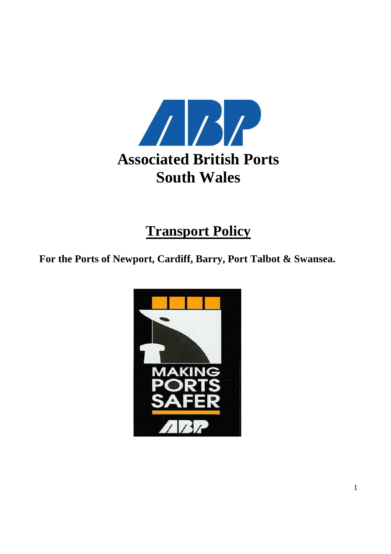

# **Transport Policy**

**For the Ports of Newport, Cardiff, Barry, Port Talbot & Swansea.** 

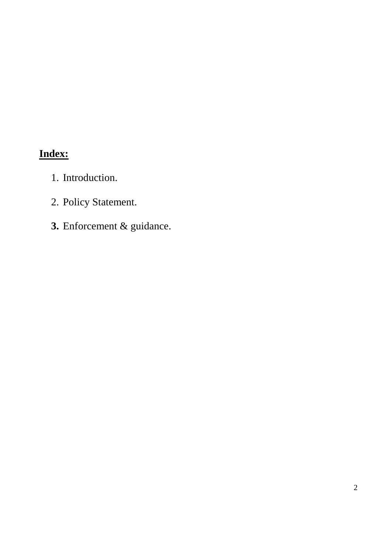## **Index:**

- 1. Introduction.
- 2. Policy Statement.
- **3.** Enforcement & guidance.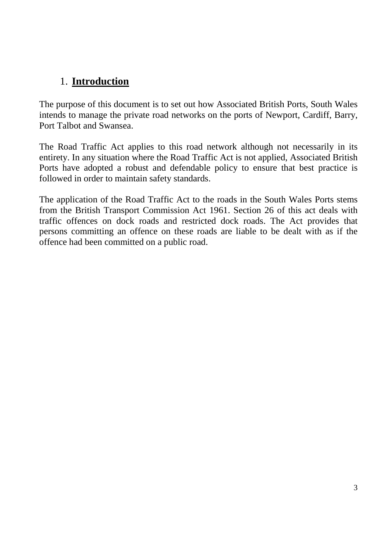### 1. **Introduction**

The purpose of this document is to set out how Associated British Ports, South Wales intends to manage the private road networks on the ports of Newport, Cardiff, Barry, Port Talbot and Swansea.

The Road Traffic Act applies to this road network although not necessarily in its entirety. In any situation where the Road Traffic Act is not applied, Associated British Ports have adopted a robust and defendable policy to ensure that best practice is followed in order to maintain safety standards.

The application of the Road Traffic Act to the roads in the South Wales Ports stems from the British Transport Commission Act 1961. Section 26 of this act deals with traffic offences on dock roads and restricted dock roads. The Act provides that persons committing an offence on these roads are liable to be dealt with as if the offence had been committed on a public road.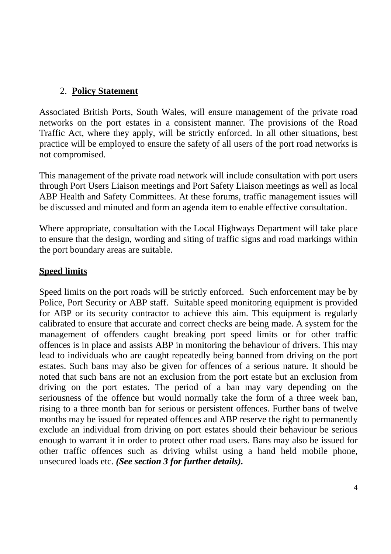#### 2. **Policy Statement**

Associated British Ports, South Wales, will ensure management of the private road networks on the port estates in a consistent manner. The provisions of the Road Traffic Act, where they apply, will be strictly enforced. In all other situations, best practice will be employed to ensure the safety of all users of the port road networks is not compromised.

This management of the private road network will include consultation with port users through Port Users Liaison meetings and Port Safety Liaison meetings as well as local ABP Health and Safety Committees. At these forums, traffic management issues will be discussed and minuted and form an agenda item to enable effective consultation.

Where appropriate, consultation with the Local Highways Department will take place to ensure that the design, wording and siting of traffic signs and road markings within the port boundary areas are suitable.

#### **Speed limits**

Speed limits on the port roads will be strictly enforced. Such enforcement may be by Police, Port Security or ABP staff. Suitable speed monitoring equipment is provided for ABP or its security contractor to achieve this aim. This equipment is regularly calibrated to ensure that accurate and correct checks are being made. A system for the management of offenders caught breaking port speed limits or for other traffic offences is in place and assists ABP in monitoring the behaviour of drivers. This may lead to individuals who are caught repeatedly being banned from driving on the port estates. Such bans may also be given for offences of a serious nature. It should be noted that such bans are not an exclusion from the port estate but an exclusion from driving on the port estates. The period of a ban may vary depending on the seriousness of the offence but would normally take the form of a three week ban, rising to a three month ban for serious or persistent offences. Further bans of twelve months may be issued for repeated offences and ABP reserve the right to permanently exclude an individual from driving on port estates should their behaviour be serious enough to warrant it in order to protect other road users. Bans may also be issued for other traffic offences such as driving whilst using a hand held mobile phone, unsecured loads etc. *(See section 3 for further details).*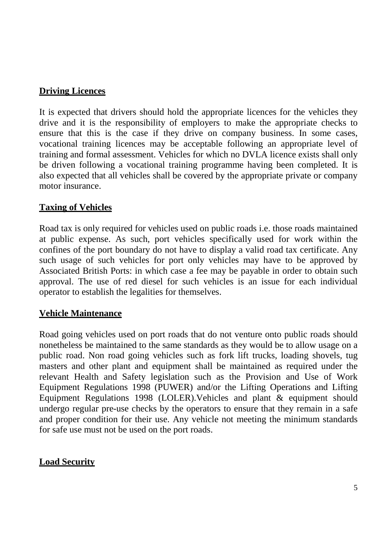#### **Driving Licences**

It is expected that drivers should hold the appropriate licences for the vehicles they drive and it is the responsibility of employers to make the appropriate checks to ensure that this is the case if they drive on company business. In some cases, vocational training licences may be acceptable following an appropriate level of training and formal assessment. Vehicles for which no DVLA licence exists shall only be driven following a vocational training programme having been completed. It is also expected that all vehicles shall be covered by the appropriate private or company motor insurance.

#### **Taxing of Vehicles**

Road tax is only required for vehicles used on public roads i.e. those roads maintained at public expense. As such, port vehicles specifically used for work within the confines of the port boundary do not have to display a valid road tax certificate. Any such usage of such vehicles for port only vehicles may have to be approved by Associated British Ports: in which case a fee may be payable in order to obtain such approval. The use of red diesel for such vehicles is an issue for each individual operator to establish the legalities for themselves.

#### **Vehicle Maintenance**

Road going vehicles used on port roads that do not venture onto public roads should nonetheless be maintained to the same standards as they would be to allow usage on a public road. Non road going vehicles such as fork lift trucks, loading shovels, tug masters and other plant and equipment shall be maintained as required under the relevant Health and Safety legislation such as the Provision and Use of Work Equipment Regulations 1998 (PUWER) and/or the Lifting Operations and Lifting Equipment Regulations 1998 (LOLER).Vehicles and plant & equipment should undergo regular pre-use checks by the operators to ensure that they remain in a safe and proper condition for their use. Any vehicle not meeting the minimum standards for safe use must not be used on the port roads.

#### **Load Security**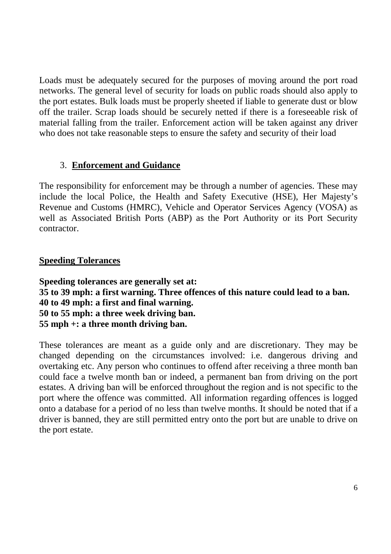Loads must be adequately secured for the purposes of moving around the port road networks. The general level of security for loads on public roads should also apply to the port estates. Bulk loads must be properly sheeted if liable to generate dust or blow off the trailer. Scrap loads should be securely netted if there is a foreseeable risk of material falling from the trailer. Enforcement action will be taken against any driver who does not take reasonable steps to ensure the safety and security of their load

#### 3. **Enforcement and Guidance**

The responsibility for enforcement may be through a number of agencies. These may include the local Police, the Health and Safety Executive (HSE), Her Majesty's Revenue and Customs (HMRC), Vehicle and Operator Services Agency (VOSA) as well as Associated British Ports (ABP) as the Port Authority or its Port Security contractor.

#### **Speeding Tolerances**

**Speeding tolerances are generally set at: 35 to 39 mph: a first warning. Three offences of this nature could lead to a ban. 40 to 49 mph: a first and final warning. 50 to 55 mph: a three week driving ban. 55 mph +: a three month driving ban.** 

These tolerances are meant as a guide only and are discretionary. They may be changed depending on the circumstances involved: i.e. dangerous driving and overtaking etc. Any person who continues to offend after receiving a three month ban could face a twelve month ban or indeed, a permanent ban from driving on the port estates. A driving ban will be enforced throughout the region and is not specific to the port where the offence was committed. All information regarding offences is logged onto a database for a period of no less than twelve months. It should be noted that if a driver is banned, they are still permitted entry onto the port but are unable to drive on the port estate.